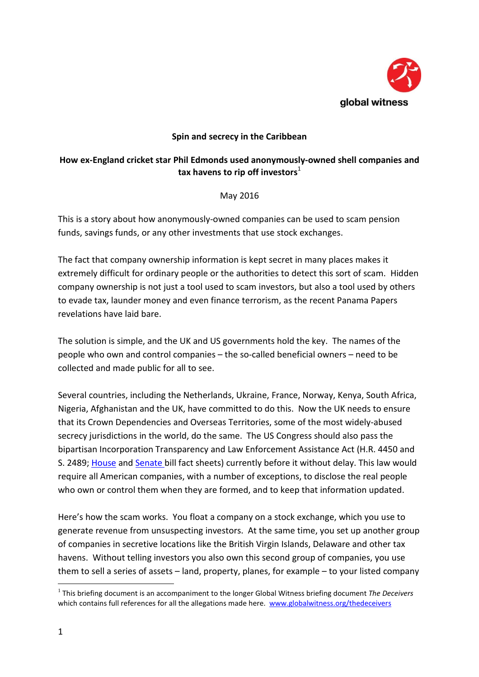

# **Spin and secrecy in the Caribbean**

## **How ex-England cricket star Phil Edmonds used anonymously-owned shell companies and tax** havens to rip off investors<sup>1</sup>

May 2016

This is a story about how anonymously-owned companies can be used to scam pension funds, savings funds, or any other investments that use stock exchanges.

The fact that company ownership information is kept secret in many places makes it extremely difficult for ordinary people or the authorities to detect this sort of scam. Hidden company ownership is not just a tool used to scam investors, but also a tool used by others to evade tax, launder money and even finance terrorism, as the recent Panama Papers revelations have laid bare.

The solution is simple, and the UK and US governments hold the key. The names of the people who own and control companies – the so-called beneficial owners – need to be collected and made public for all to see.

Several countries, including the Netherlands, Ukraine, France, Norway, Kenya, South Africa, Nigeria, Afghanistan and the UK, have committed to do this. Now the UK needs to ensure that its Crown Dependencies and Overseas Territories, some of the most widely-abused secrecy jurisdictions in the world, do the same. The US Congress should also pass the bipartisan Incorporation Transparency and Law Enforcement Assistance Act (H.R. 4450 and S. 2489; [House](https://maloney.house.gov/media-center/press-releases/reps-maloney-king-and-senator-whitehouse-introduce-bills-to-stop) and [Senate](https://drive.google.com/file/d/0B0a7OfmMBIhJb0gxMVp0WnlwSlE/view?usp=sharing) bill fact sheets) currently before it without delay. This law would require all American companies, with a number of exceptions, to disclose the real people who own or control them when they are formed, and to keep that information updated.

Here's how the scam works. You float a company on a stock exchange, which you use to generate revenue from unsuspecting investors. At the same time, you set up another group of companies in secretive locations like the British Virgin Islands, Delaware and other tax havens. Without telling investors you also own this second group of companies, you use them to sell a series of assets – land, property, planes, for example – to your listed company

 $\overline{a}$ 

<sup>1</sup> This briefing document is an accompaniment to the longer Global Witness briefing document *The Deceivers* which contains full references for all the allegations made here. [www.globalwitness.org/thedeceivers](http://www.globalwitness.org/thedeceivers)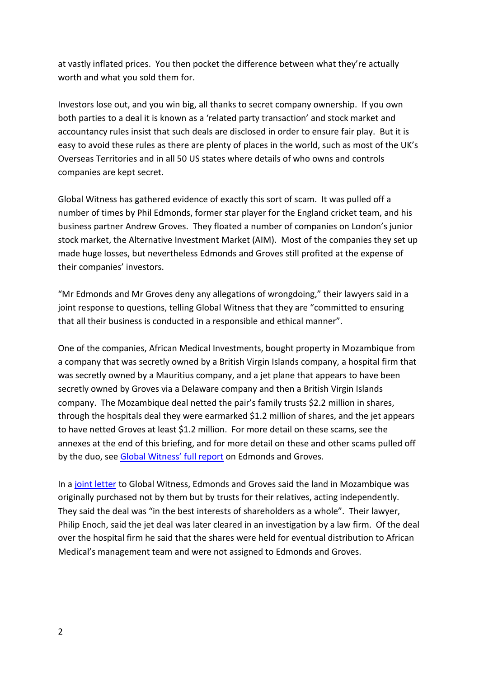at vastly inflated prices. You then pocket the difference between what they're actually worth and what you sold them for.

Investors lose out, and you win big, all thanks to secret company ownership. If you own both parties to a deal it is known as a 'related party transaction' and stock market and accountancy rules insist that such deals are disclosed in order to ensure fair play. But it is easy to avoid these rules as there are plenty of places in the world, such as most of the UK's Overseas Territories and in all 50 US states where details of who owns and controls companies are kept secret.

Global Witness has gathered evidence of exactly this sort of scam. It was pulled off a number of times by Phil Edmonds, former star player for the England cricket team, and his business partner Andrew Groves. They floated a number of companies on London's junior stock market, the Alternative Investment Market (AIM). Most of the companies they set up made huge losses, but nevertheless Edmonds and Groves still profited at the expense of their companies' investors.

"Mr Edmonds and Mr Groves deny any allegations of wrongdoing," their lawyers said in a joint response to questions, telling Global Witness that they are "committed to ensuring that all their business is conducted in a responsible and ethical manner".

One of the companies, African Medical Investments, bought property in Mozambique from a company that was secretly owned by a British Virgin Islands company, a hospital firm that was secretly owned by a Mauritius company, and a jet plane that appears to have been secretly owned by Groves via a Delaware company and then a British Virgin Islands company. The Mozambique deal netted the pair's family trusts \$2.2 million in shares, through the hospitals deal they were earmarked \$1.2 million of shares, and the jet appears to have netted Groves at least \$1.2 million. For more detail on these scams, see the annexes at the end of this briefing, and for more detail on these and other scams pulled off by the duo, see [Global Witness' full report](http://www.globalwitness.org/thedeceivers) on Edmonds and Groves.

In a [joint letter](http://www.globalwitness.org/thedeceiversr2r) to Global Witness, Edmonds and Groves said the land in Mozambique was originally purchased not by them but by trusts for their relatives, acting independently. They said the deal was "in the best interests of shareholders as a whole". Their lawyer, Philip Enoch, said the jet deal was later cleared in an investigation by a law firm. Of the deal over the hospital firm he said that the shares were held for eventual distribution to African Medical's management team and were not assigned to Edmonds and Groves.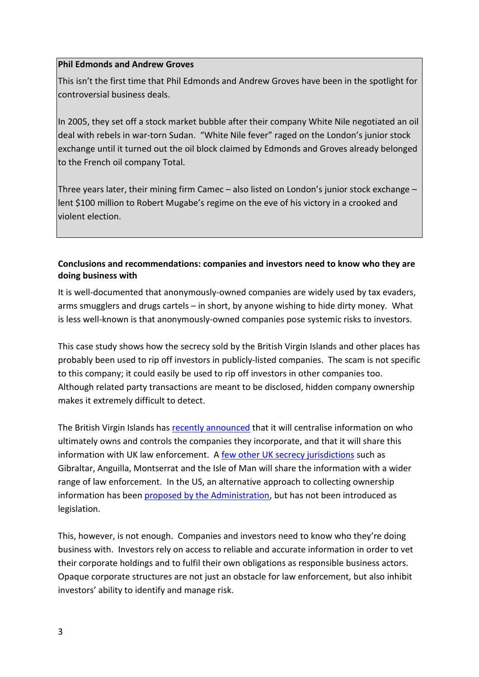## **Phil Edmonds and Andrew Groves**

This isn't the first time that Phil Edmonds and Andrew Groves have been in the spotlight for controversial business deals.

In 2005, they set off a stock market bubble after their company White Nile negotiated an oil deal with rebels in war-torn Sudan. "White Nile fever" raged on the London's junior stock exchange until it turned out the oil block claimed by Edmonds and Groves already belonged to the French oil company Total.

Three years later, their mining firm Camec – also listed on London's junior stock exchange – lent \$100 million to Robert Mugabe's regime on the eve of his victory in a crooked and violent election.

## **Conclusions and recommendations: companies and investors need to know who they are doing business with**

It is well-documented that anonymously-owned companies are widely used by tax evaders, arms smugglers and drugs cartels – in short, by anyone wishing to hide dirty money. What is less well-known is that anonymously-owned companies pose systemic risks to investors.

This case study shows how the secrecy sold by the British Virgin Islands and other places has probably been used to rip off investors in publicly-listed companies. The scam is not specific to this company; it could easily be used to rip off investors in other companies too. Although related party transactions are meant to be disclosed, hidden company ownership makes it extremely difficult to detect.

The British Virgin Islands has [recently announced](https://www.gov.uk/government/publications/the-british-virgin-islands-sharing-beneficial-ownership-information) that it will centralise information on who ultimately owns and controls the companies they incorporate, and that it will share this information with UK law enforcement. A [few other UK secrecy jurisdictions](https://www.gov.uk/government/uploads/system/uploads/attachment_data/file/520459/statement_on_the_initiative_for_exchange_of_beneficial_ownership_information.pdf) such as Gibraltar, Anguilla, Montserrat and the Isle of Man will share the information with a wider range of law enforcement. In the US, an alternative approach to collecting ownership information has been [proposed by the Administration,](https://www.whitehouse.gov/the-press-office/2016/05/05/fact-sheet-obama-administration-announces-steps-strengthen-financial) but has not been introduced as legislation.

This, however, is not enough. Companies and investors need to know who they're doing business with. Investors rely on access to reliable and accurate information in order to vet their corporate holdings and to fulfil their own obligations as responsible business actors. Opaque corporate structures are not just an obstacle for law enforcement, but also inhibit investors' ability to identify and manage risk.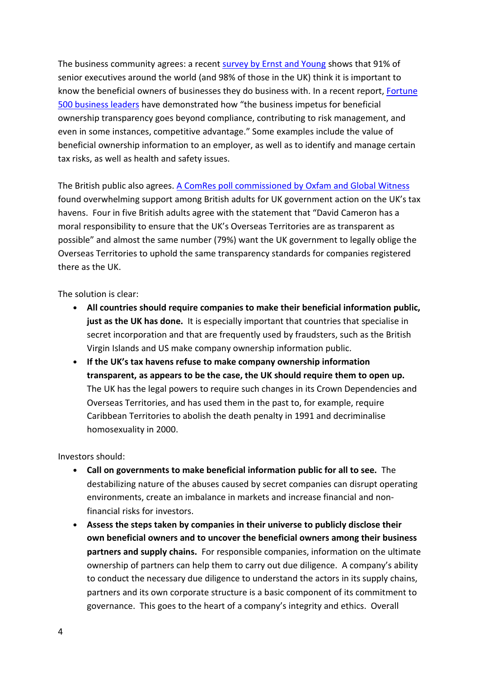The business community agrees: a recent [survey by Ernst and Young](http://www.ey.com/GL/en/Services/Assurance/Fraud-Investigation---Dispute-Services/EY-global-fraud-survey-2016-combating-corruption-as-a-global-priority) shows that 91% of senior executives around the world (and 98% of those in the UK) think it is important to know the beneficial owners of businesses they do business with. In a recent report, [Fortune](http://bteam.org/announcements/the-business-case-for-beneficial-ownership-transparency/)  [500 business leaders](http://bteam.org/announcements/the-business-case-for-beneficial-ownership-transparency/) have demonstrated how "the business impetus for beneficial ownership transparency goes beyond compliance, contributing to risk management, and even in some instances, competitive advantage." Some examples include the value of beneficial ownership information to an employer, as well as to identify and manage certain tax risks, as well as health and safety issues.

The British public also agrees. [A ComRes poll commissioned by Oxfam](https://www.globalwitness.org/en/press-releases/80-uk-voters-think-pm-has-moral-duty-ensure-offshore-transparency-new-poll/) and Global Witness found overwhelming support among British adults for UK government action on the UK's tax havens. Four in five British adults agree with the statement that "David Cameron has a moral responsibility to ensure that the UK's Overseas Territories are as transparent as possible" and almost the same number (79%) want the UK government to legally oblige the Overseas Territories to uphold the same transparency standards for companies registered there as the UK.

The solution is clear:

- **• All countries should require companies to make their beneficial information public, just as the UK has done.** It is especially important that countries that specialise in secret incorporation and that are frequently used by fraudsters, such as the British Virgin Islands and US make company ownership information public.
- **• If the UK's tax havens refuse to make company ownership information transparent, as appears to be the case, the UK should require them to open up.**  The UK has the legal powers to require such changes in its Crown Dependencies and Overseas Territories, and has used them in the past to, for example, require Caribbean Territories to abolish the death penalty in 1991 and decriminalise homosexuality in 2000.

Investors should:

- **• Call on governments to make beneficial information public for all to see.** The destabilizing nature of the abuses caused by secret companies can disrupt operating environments, create an imbalance in markets and increase financial and nonfinancial risks for investors.
- **• Assess the steps taken by companies in their universe to publicly disclose their own beneficial owners and to uncover the beneficial owners among their business partners and supply chains.** For responsible companies, information on the ultimate ownership of partners can help them to carry out due diligence. A company's ability to conduct the necessary due diligence to understand the actors in its supply chains, partners and its own corporate structure is a basic component of its commitment to governance. This goes to the heart of a company's integrity and ethics. Overall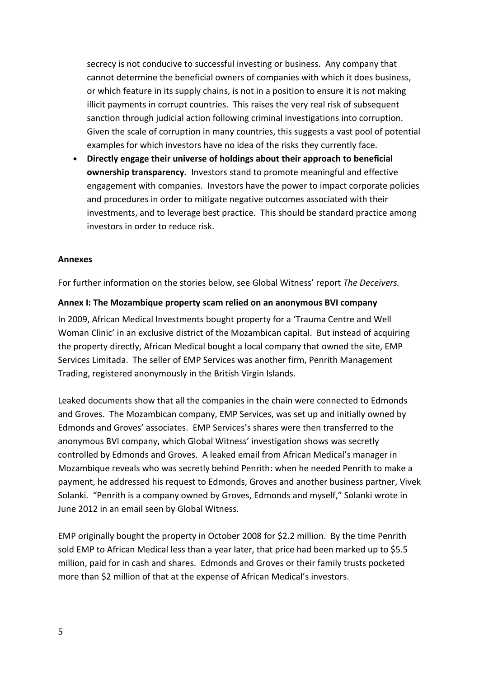secrecy is not conducive to successful investing or business. Any company that cannot determine the beneficial owners of companies with which it does business, or which feature in its supply chains, is not in a position to ensure it is not making illicit payments in corrupt countries. This raises the very real risk of subsequent sanction through judicial action following criminal investigations into corruption. Given the scale of corruption in many countries, this suggests a vast pool of potential examples for which investors have no idea of the risks they currently face.

**• Directly engage their universe of holdings about their approach to beneficial ownership transparency.** Investors stand to promote meaningful and effective engagement with companies. Investors have the power to impact corporate policies and procedures in order to mitigate negative outcomes associated with their investments, and to leverage best practice. This should be standard practice among investors in order to reduce risk.

#### **Annexes**

For further information on the stories below, see Global Witness' report *The Deceivers.*

#### **Annex I: The Mozambique property scam relied on an anonymous BVI company**

In 2009, African Medical Investments bought property for a 'Trauma Centre and Well Woman Clinic' in an exclusive district of the Mozambican capital. But instead of acquiring the property directly, African Medical bought a local company that owned the site, EMP Services Limitada. The seller of EMP Services was another firm, Penrith Management Trading, registered anonymously in the British Virgin Islands.

Leaked documents show that all the companies in the chain were connected to Edmonds and Groves. The Mozambican company, EMP Services, was set up and initially owned by Edmonds and Groves' associates. EMP Services's shares were then transferred to the anonymous BVI company, which Global Witness' investigation shows was secretly controlled by Edmonds and Groves. A leaked email from African Medical's manager in Mozambique reveals who was secretly behind Penrith: when he needed Penrith to make a payment, he addressed his request to Edmonds, Groves and another business partner, Vivek Solanki. "Penrith is a company owned by Groves, Edmonds and myself," Solanki wrote in June 2012 in an email seen by Global Witness.

EMP originally bought the property in October 2008 for \$2.2 million. By the time Penrith sold EMP to African Medical less than a year later, that price had been marked up to \$5.5 million, paid for in cash and shares. Edmonds and Groves or their family trusts pocketed more than \$2 million of that at the expense of African Medical's investors.